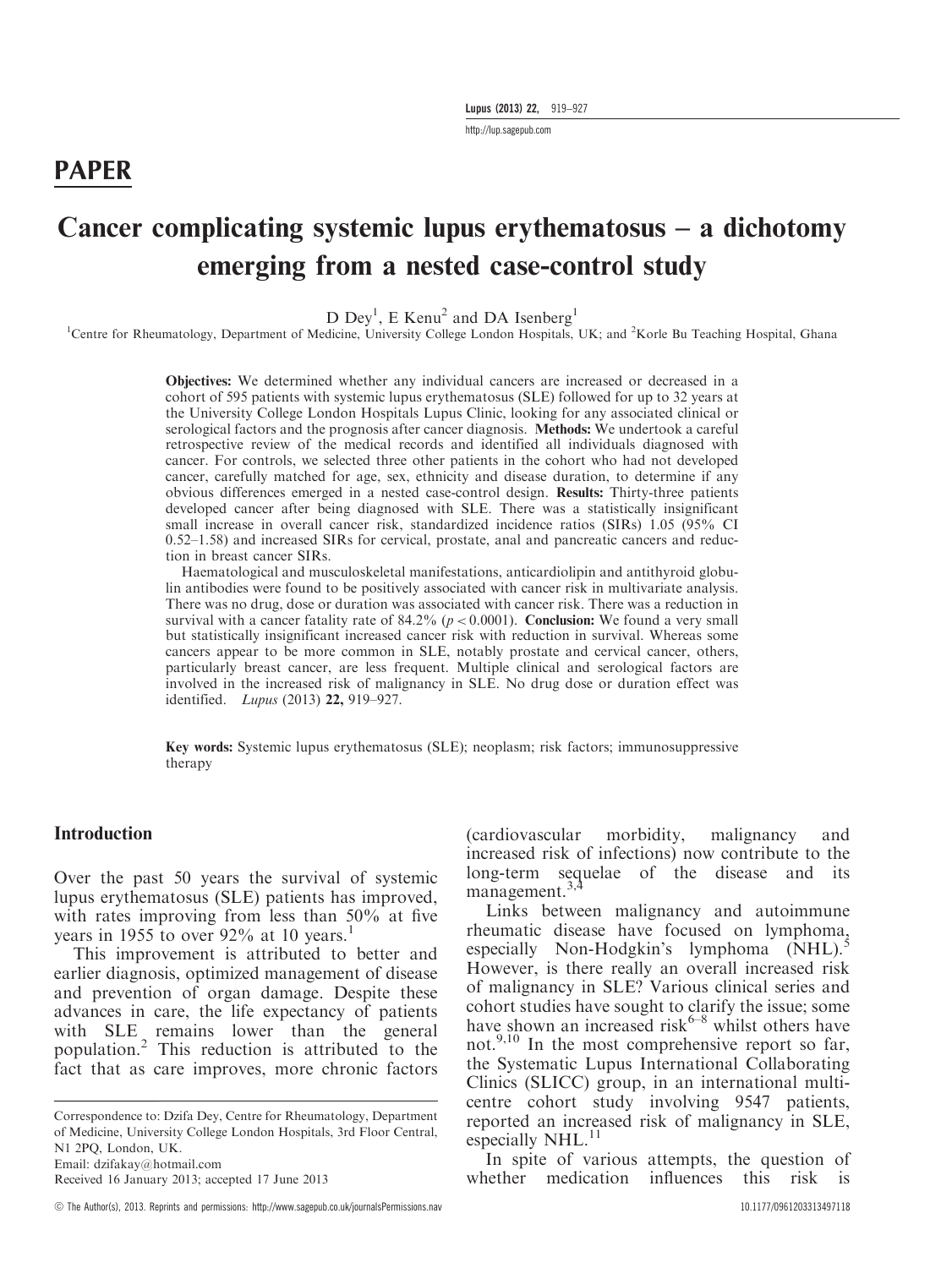PAPER

http://lup.sagepub.com

# Cancer complicating systemic lupus erythematosus – a dichotomy emerging from a nested case-control study

D Dey<sup>1</sup>, E Kenu<sup>2</sup> and DA Isenberg<sup>1</sup>

<sup>1</sup>Centre for Rheumatology, Department of Medicine, University College London Hospitals, UK; and <sup>2</sup>Korle Bu Teaching Hospital, Ghana

Objectives: We determined whether any individual cancers are increased or decreased in a cohort of 595 patients with systemic lupus erythematosus (SLE) followed for up to 32 years at the University College London Hospitals Lupus Clinic, looking for any associated clinical or serological factors and the prognosis after cancer diagnosis. Methods: We undertook a careful retrospective review of the medical records and identified all individuals diagnosed with cancer. For controls, we selected three other patients in the cohort who had not developed cancer, carefully matched for age, sex, ethnicity and disease duration, to determine if any obvious differences emerged in a nested case-control design. Results: Thirty-three patients developed cancer after being diagnosed with SLE. There was a statistically insignificant small increase in overall cancer risk, standardized incidence ratios (SIRs) 1.05 (95% CI 0.52–1.58) and increased SIRs for cervical, prostate, anal and pancreatic cancers and reduction in breast cancer SIRs.

Haematological and musculoskeletal manifestations, anticardiolipin and antithyroid globulin antibodies were found to be positively associated with cancer risk in multivariate analysis. There was no drug, dose or duration was associated with cancer risk. There was a reduction in survival with a cancer fatality rate of  $84.2\%$  ( $p < 0.0001$ ). **Conclusion:** We found a very small but statistically insignificant increased cancer risk with reduction in survival. Whereas some cancers appear to be more common in SLE, notably prostate and cervical cancer, others, particularly breast cancer, are less frequent. Multiple clinical and serological factors are involved in the increased risk of malignancy in SLE. No drug dose or duration effect was identified. Lupus (2013) 22, 919–927.

Key words: Systemic lupus erythematosus (SLE); neoplasm; risk factors; immunosuppressive therapy

#### **Introduction**

Over the past 50 years the survival of systemic lupus erythematosus (SLE) patients has improved, with rates improving from less than 50% at five years in 1955 to over 92% at 10 years.<sup>1</sup>

This improvement is attributed to better and earlier diagnosis, optimized management of disease and prevention of organ damage. Despite these advances in care, the life expectancy of patients with SLE remains lower than the general population.<sup>2</sup> This reduction is attributed to the fact that as care improves, more chronic factors

Correspondence to: Dzifa Dey, Centre for Rheumatology, Department of Medicine, University College London Hospitals, 3rd Floor Central, N1 2PQ, London, UK. Email: dzifakay@hotmail.com

Received 16 January 2013; accepted 17 June 2013

C The Author(s), 2013. Reprints and permissions: http://www.sagepub.co.uk/journalsPermissions.nav 10.1177/0961203313497118

(cardiovascular morbidity, malignancy and increased risk of infections) now contribute to the long-term sequelae of the disease and its management.<sup>3,4</sup>

Links between malignancy and autoimmune rheumatic disease have focused on lymphoma, especially Non-Hodgkin's lymphoma (NHL).<sup>5</sup> However, is there really an overall increased risk of malignancy in SLE? Various clinical series and cohort studies have sought to clarify the issue; some have shown an increased risk $6-8$  whilst others have not.<sup>9,10</sup> In the most comprehensive report so far, the Systematic Lupus International Collaborating Clinics (SLICC) group, in an international multicentre cohort study involving 9547 patients, reported an increased risk of malignancy in SLE, especially NHL. $^{11}$ 

In spite of various attempts, the question of whether medication influences this risk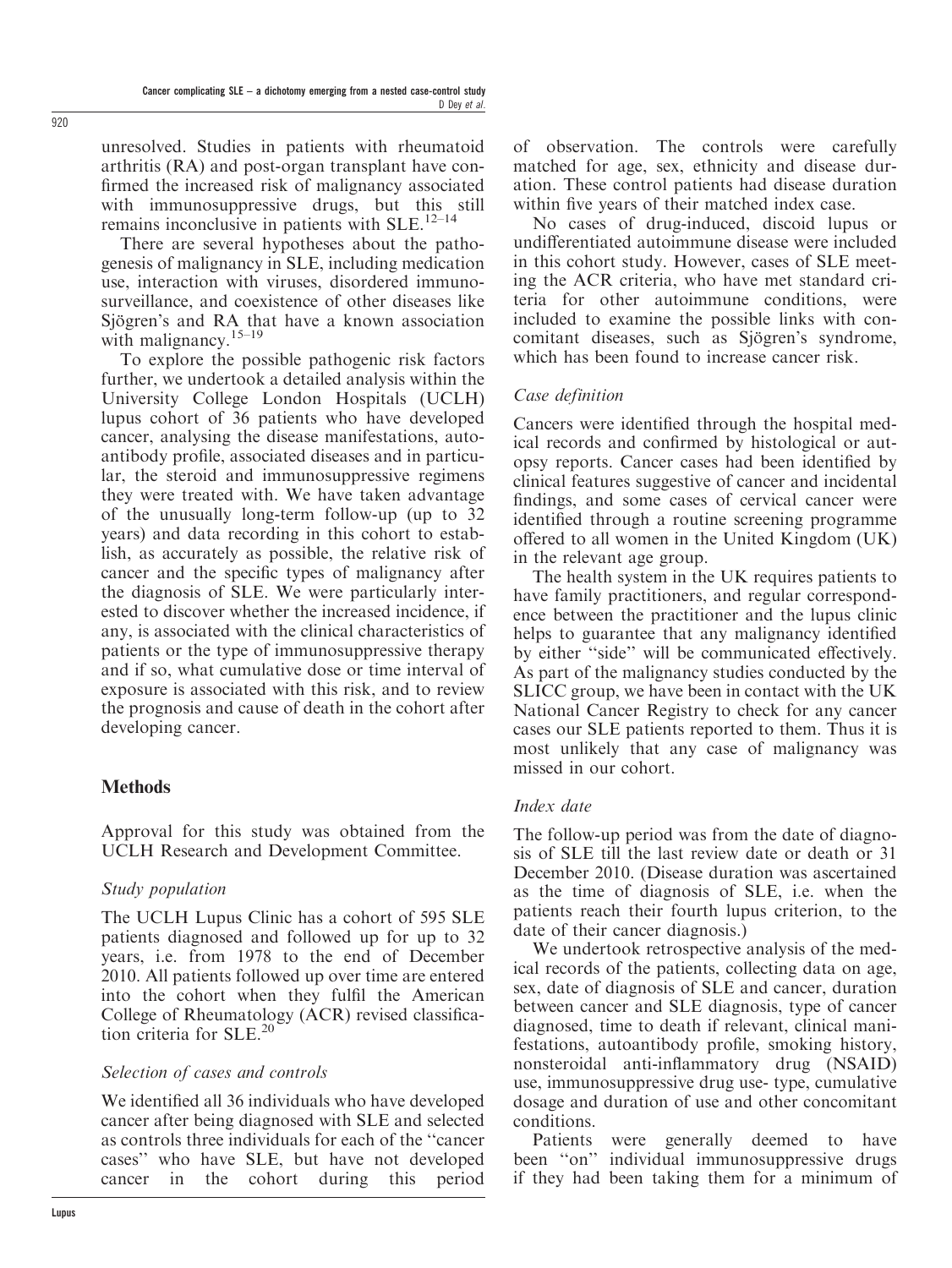unresolved. Studies in patients with rheumatoid arthritis (RA) and post-organ transplant have confirmed the increased risk of malignancy associated with immunosuppressive drugs, but this still remains inconclusive in patients with  $SLE.<sup>12-14</sup>$ 

There are several hypotheses about the pathogenesis of malignancy in SLE, including medication use, interaction with viruses, disordered immunosurveillance, and coexistence of other diseases like Siögren's and RA that have a known association with malignancy.<sup>15–19</sup>

To explore the possible pathogenic risk factors further, we undertook a detailed analysis within the University College London Hospitals (UCLH) lupus cohort of 36 patients who have developed cancer, analysing the disease manifestations, autoantibody profile, associated diseases and in particular, the steroid and immunosuppressive regimens they were treated with. We have taken advantage of the unusually long-term follow-up (up to 32 years) and data recording in this cohort to establish, as accurately as possible, the relative risk of cancer and the specific types of malignancy after the diagnosis of SLE. We were particularly interested to discover whether the increased incidence, if any, is associated with the clinical characteristics of patients or the type of immunosuppressive therapy and if so, what cumulative dose or time interval of exposure is associated with this risk, and to review the prognosis and cause of death in the cohort after developing cancer.

# Methods

Approval for this study was obtained from the UCLH Research and Development Committee.

# Study population

The UCLH Lupus Clinic has a cohort of 595 SLE patients diagnosed and followed up for up to 32 years, i.e. from 1978 to the end of December 2010. All patients followed up over time are entered into the cohort when they fulfil the American College of Rheumatology (ACR) revised classification criteria for SLE.<sup>20</sup>

# Selection of cases and controls

We identified all 36 individuals who have developed cancer after being diagnosed with SLE and selected as controls three individuals for each of the ''cancer cases'' who have SLE, but have not developed cancer in the cohort during this period

Lupus

of observation. The controls were carefully matched for age, sex, ethnicity and disease duration. These control patients had disease duration within five years of their matched index case.

No cases of drug-induced, discoid lupus or undifferentiated autoimmune disease were included in this cohort study. However, cases of SLE meeting the ACR criteria, who have met standard criteria for other autoimmune conditions, were included to examine the possible links with concomitant diseases, such as Sjögren's syndrome, which has been found to increase cancer risk.

#### Case definition

Cancers were identified through the hospital medical records and confirmed by histological or autopsy reports. Cancer cases had been identified by clinical features suggestive of cancer and incidental findings, and some cases of cervical cancer were identified through a routine screening programme offered to all women in the United Kingdom (UK) in the relevant age group.

The health system in the UK requires patients to have family practitioners, and regular correspondence between the practitioner and the lupus clinic helps to guarantee that any malignancy identified by either ''side'' will be communicated effectively. As part of the malignancy studies conducted by the SLICC group, we have been in contact with the UK National Cancer Registry to check for any cancer cases our SLE patients reported to them. Thus it is most unlikely that any case of malignancy was missed in our cohort.

#### Index date

The follow-up period was from the date of diagnosis of SLE till the last review date or death or 31 December 2010. (Disease duration was ascertained as the time of diagnosis of SLE, i.e. when the patients reach their fourth lupus criterion, to the date of their cancer diagnosis.)

We undertook retrospective analysis of the medical records of the patients, collecting data on age, sex, date of diagnosis of SLE and cancer, duration between cancer and SLE diagnosis, type of cancer diagnosed, time to death if relevant, clinical manifestations, autoantibody profile, smoking history, nonsteroidal anti-inflammatory drug (NSAID) use, immunosuppressive drug use- type, cumulative dosage and duration of use and other concomitant conditions.

Patients were generally deemed to have been ''on'' individual immunosuppressive drugs if they had been taking them for a minimum of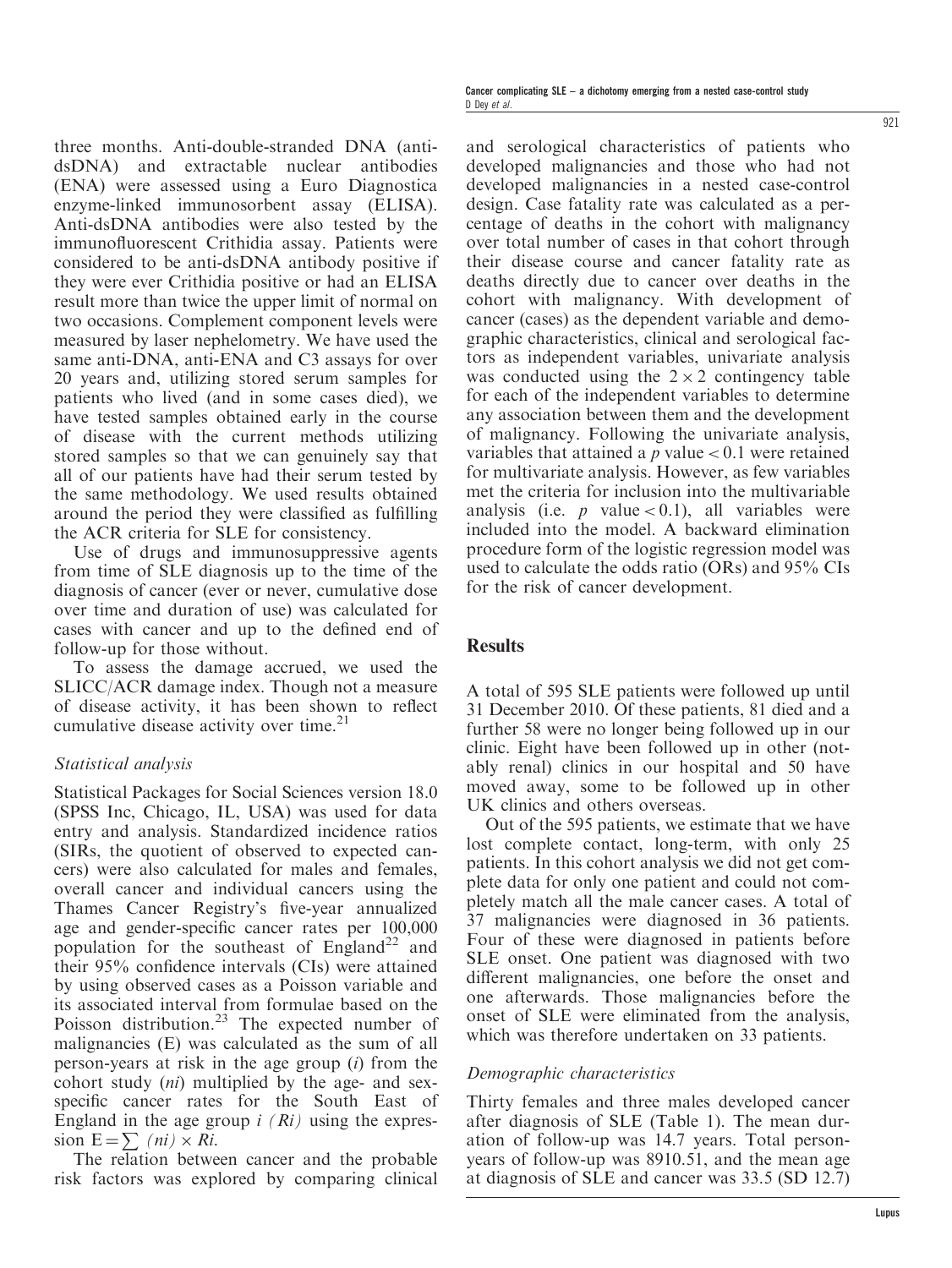three months. Anti-double-stranded DNA (antidsDNA) and extractable nuclear antibodies (ENA) were assessed using a Euro Diagnostica enzyme-linked immunosorbent assay (ELISA). Anti-dsDNA antibodies were also tested by the immunofluorescent Crithidia assay. Patients were considered to be anti-dsDNA antibody positive if they were ever Crithidia positive or had an ELISA result more than twice the upper limit of normal on two occasions. Complement component levels were measured by laser nephelometry. We have used the same anti-DNA, anti-ENA and C3 assays for over 20 years and, utilizing stored serum samples for patients who lived (and in some cases died), we have tested samples obtained early in the course of disease with the current methods utilizing stored samples so that we can genuinely say that all of our patients have had their serum tested by the same methodology. We used results obtained around the period they were classified as fulfilling the ACR criteria for SLE for consistency.

Use of drugs and immunosuppressive agents from time of SLE diagnosis up to the time of the diagnosis of cancer (ever or never, cumulative dose over time and duration of use) was calculated for cases with cancer and up to the defined end of follow-up for those without.

To assess the damage accrued, we used the SLICC/ACR damage index. Though not a measure of disease activity, it has been shown to reflect cumulative disease activity over time.<sup>21</sup>

# Statistical analysis

Statistical Packages for Social Sciences version 18.0 (SPSS Inc, Chicago, IL, USA) was used for data entry and analysis. Standardized incidence ratios (SIRs, the quotient of observed to expected cancers) were also calculated for males and females, overall cancer and individual cancers using the Thames Cancer Registry's five-year annualized age and gender-specific cancer rates per 100,000 population for the southeast of England<sup>22</sup> and their 95% confidence intervals (CIs) were attained by using observed cases as a Poisson variable and its associated interval from formulae based on the Poisson distribution.<sup>23</sup> The expected number of malignancies (E) was calculated as the sum of all person-years at risk in the age group (i) from the cohort study (ni) multiplied by the age- and sexspecific cancer rates for the South East of England in the age group  $i$  ( $Ri$ ) using the expres- $\lim_{n \to \infty} \frac{dE}{dt}$  and  $\lim_{n \to \infty} \frac{dE}{dt}$  (*ni*)  $\times Ri$ .

The relation between cancer and the probable risk factors was explored by comparing clinical

and serological characteristics of patients who developed malignancies and those who had not developed malignancies in a nested case-control design. Case fatality rate was calculated as a percentage of deaths in the cohort with malignancy over total number of cases in that cohort through their disease course and cancer fatality rate as deaths directly due to cancer over deaths in the cohort with malignancy. With development of cancer (cases) as the dependent variable and demographic characteristics, clinical and serological factors as independent variables, univariate analysis was conducted using the  $2 \times 2$  contingency table for each of the independent variables to determine any association between them and the development of malignancy. Following the univariate analysis, variables that attained a  $p$  value  $< 0.1$  were retained for multivariate analysis. However, as few variables met the criteria for inclusion into the multivariable analysis (i.e.  $p$  value < 0.1), all variables were included into the model. A backward elimination procedure form of the logistic regression model was used to calculate the odds ratio (ORs) and 95% CIs for the risk of cancer development.

# **Results**

A total of 595 SLE patients were followed up until 31 December 2010. Of these patients, 81 died and a further 58 were no longer being followed up in our clinic. Eight have been followed up in other (notably renal) clinics in our hospital and 50 have moved away, some to be followed up in other UK clinics and others overseas.

Out of the 595 patients, we estimate that we have lost complete contact, long-term, with only 25 patients. In this cohort analysis we did not get complete data for only one patient and could not completely match all the male cancer cases. A total of 37 malignancies were diagnosed in 36 patients. Four of these were diagnosed in patients before SLE onset. One patient was diagnosed with two different malignancies, one before the onset and one afterwards. Those malignancies before the onset of SLE were eliminated from the analysis, which was therefore undertaken on 33 patients.

# Demographic characteristics

Thirty females and three males developed cancer after diagnosis of SLE (Table 1). The mean duration of follow-up was 14.7 years. Total personyears of follow-up was 8910.51, and the mean age at diagnosis of SLE and cancer was 33.5 (SD 12.7)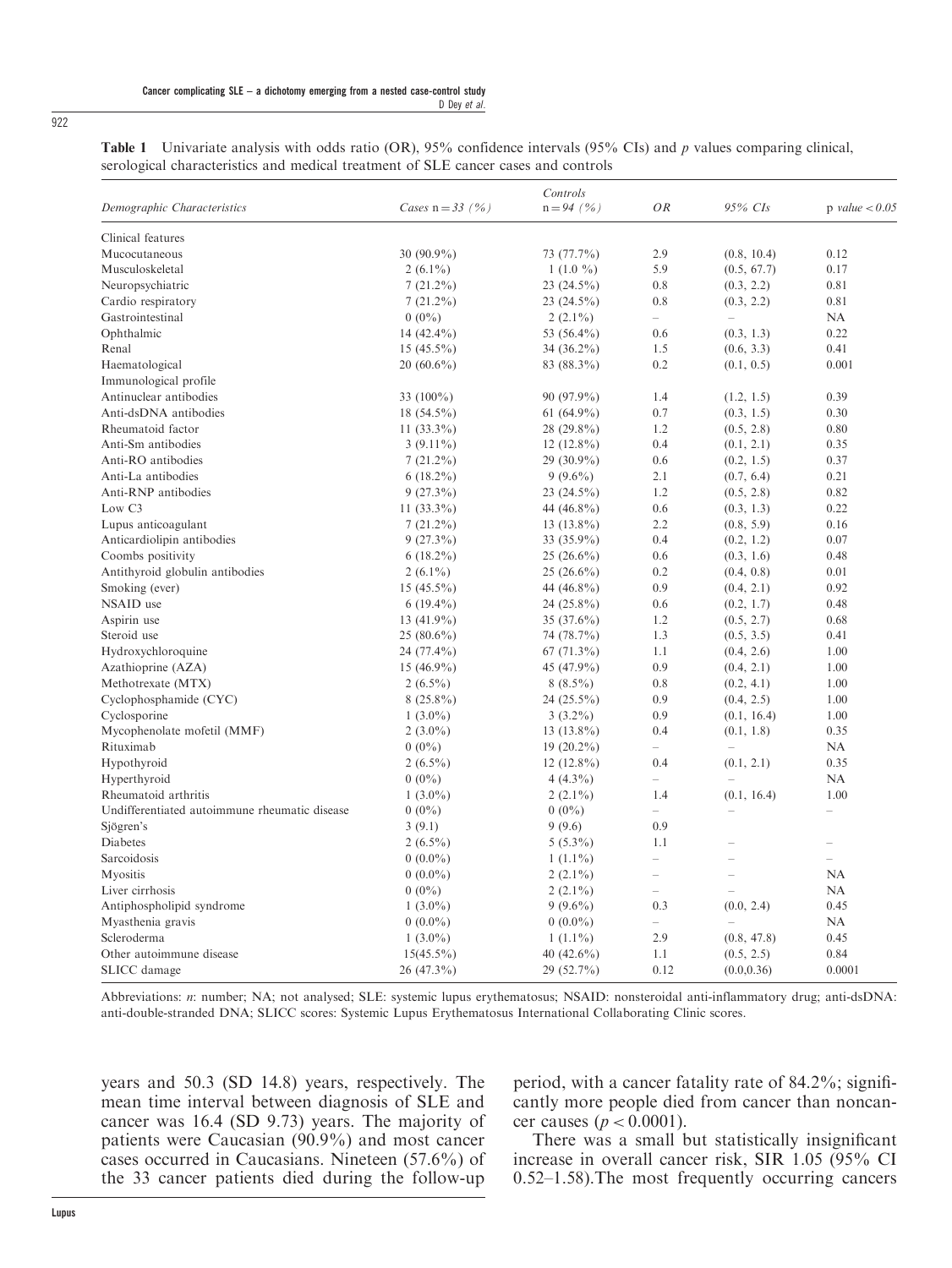922

**Table 1** Univariate analysis with odds ratio (OR),  $95\%$  confidence intervals ( $95\%$  CIs) and p values comparing clinical, serological characteristics and medical treatment of SLE cancer cases and controls

| Demographic Characteristics                   | Cases $n = 33$ (%) | Controls<br>$n = 94$ (%) | 0R                       | 95% CIs                  | p value $< 0.05$         |
|-----------------------------------------------|--------------------|--------------------------|--------------------------|--------------------------|--------------------------|
| Clinical features                             |                    |                          |                          |                          |                          |
| Mucocutaneous                                 | 30 $(90.9\%)$      | 73 (77.7%)               | 2.9                      | (0.8, 10.4)              | 0.12                     |
| Musculoskeletal                               | $2(6.1\%)$         | 1 $(1.0\%$               | 5.9                      | (0.5, 67.7)              | 0.17                     |
| Neuropsychiatric                              | $7(21.2\%)$        | $23(24.5\%)$             | 0.8                      | (0.3, 2.2)               | 0.81                     |
| Cardio respiratory                            | $7(21.2\%)$        | $23(24.5\%)$             | 0.8                      | (0.3, 2.2)               | 0.81                     |
| Gastrointestinal                              | $0(0\%)$           | $2(2.1\%)$               | $\overline{\phantom{0}}$ |                          | NA                       |
| Ophthalmic                                    | 14 $(42.4\%)$      | 53 (56.4%)               | 0.6                      | (0.3, 1.3)               | 0.22                     |
| Renal                                         | $15(45.5\%)$       | 34 (36.2%)               | 1.5                      | (0.6, 3.3)               | 0.41                     |
| Haematological                                | $20(60.6\%)$       | 83 (88.3%)               | 0.2                      | (0.1, 0.5)               | 0.001                    |
| Immunological profile                         |                    |                          |                          |                          |                          |
| Antinuclear antibodies                        | 33 $(100\%)$       | $90(97.9\%)$             | 1.4                      | (1.2, 1.5)               | 0.39                     |
| Anti-dsDNA antibodies                         | $18(54.5\%)$       | 61 $(64.9\%)$            | 0.7                      | (0.3, 1.5)               | 0.30                     |
| Rheumatoid factor                             | 11 $(33.3\%)$      | $28(29.8\%)$             | 1.2                      | (0.5, 2.8)               | 0.80                     |
| Anti-Sm antibodies                            | $3(9.11\%)$        | $12(12.8\%)$             | 0.4                      | (0.1, 2.1)               | 0.35                     |
| Anti-RO antibodies                            | $7(21.2\%)$        | $29(30.9\%)$             | 0.6                      | (0.2, 1.5)               | 0.37                     |
| Anti-La antibodies                            | $6(18.2\%)$        | $9(9.6\%)$               | 2.1                      | (0.7, 6.4)               | 0.21                     |
| Anti-RNP antibodies                           | $9(27.3\%)$        | $23(24.5\%)$             | 1.2                      | (0.5, 2.8)               | 0.82                     |
| Low C <sub>3</sub>                            | $11(33.3\%)$       | 44 (46.8%)               | 0.6                      | (0.3, 1.3)               | 0.22                     |
| Lupus anticoagulant                           | $7(21.2\%)$        | $13(13.8\%)$             | 2.2                      | (0.8, 5.9)               | 0.16                     |
| Anticardiolipin antibodies                    | $9(27.3\%)$        | $33(35.9\%)$             | 0.4                      | (0.2, 1.2)               | 0.07                     |
| Coombs positivity                             | $6(18.2\%)$        | $25(26.6\%)$             | 0.6                      | (0.3, 1.6)               | 0.48                     |
| Antithyroid globulin antibodies               | $2(6.1\%)$         | $25(26.6\%)$             | 0.2                      | (0.4, 0.8)               | 0.01                     |
| Smoking (ever)                                | $15(45.5\%)$       | 44 (46.8%)               | 0.9                      | (0.4, 2.1)               | 0.92                     |
| NSAID use                                     | $6(19.4\%)$        | $24(25.8\%)$             | 0.6                      | (0.2, 1.7)               | 0.48                     |
| Aspirin use                                   | 13 (41.9%)         | $35(37.6\%)$             | 1.2                      | (0.5, 2.7)               | 0.68                     |
| Steroid use                                   | $25(80.6\%)$       | 74 (78.7%)               | 1.3                      | (0.5, 3.5)               | 0.41                     |
| Hydroxychloroquine                            | 24 (77.4%)         | $67(71.3\%)$             | 1.1                      | (0.4, 2.6)               | 1.00                     |
| Azathioprine (AZA)                            | 15 (46.9%)         | 45 (47.9%)               | 0.9                      | (0.4, 2.1)               | 1.00                     |
| Methotrexate (MTX)                            | $2(6.5\%)$         | $8(8.5\%)$               | 0.8                      | (0.2, 4.1)               | 1.00                     |
| Cyclophosphamide (CYC)                        | $8(25.8\%)$        | 24 (25.5%)               | 0.9                      | (0.4, 2.5)               | 1.00                     |
| Cyclosporine                                  | $1(3.0\%)$         | $3(3.2\%)$               | 0.9                      | (0.1, 16.4)              | 1.00                     |
| Mycophenolate mofetil (MMF)                   | $2(3.0\%)$         | $13(13.8\%)$             | 0.4                      | (0.1, 1.8)               | 0.35                     |
| Rituximab                                     | $0(0\%)$           | $19(20.2\%)$             | $\overline{\phantom{0}}$ |                          | NA                       |
| Hypothyroid                                   | $2(6.5\%)$         | $12(12.8\%)$             | 0.4                      | (0.1, 2.1)               | 0.35                     |
| Hyperthyroid                                  | $0(0\%)$           | $4(4.3\%)$               | $\overline{\phantom{0}}$ |                          | NA                       |
| Rheumatoid arthritis                          | $1(3.0\%)$         | $2(2.1\%)$               | 1.4                      | (0.1, 16.4)              | 1.00                     |
| Undifferentiated autoimmune rheumatic disease | $0(0\%)$           | $0(0\%)$                 | $\equiv$                 |                          |                          |
| Sjögren's                                     | 3(9.1)             | 9(9.6)                   | 0.9                      |                          |                          |
| Diabetes                                      | $2(6.5\%)$         | $5(5.3\%)$               | 1.1                      |                          | $\overline{\phantom{a}}$ |
| Sarcoidosis                                   | $0(0.0\%)$         | $1(1.1\%)$               | $\equiv$                 |                          | $\overline{\phantom{0}}$ |
| Myositis                                      | $0(0.0\%)$         | $2(2.1\%)$               | $\overline{\phantom{0}}$ | $\overline{\phantom{m}}$ | NA                       |
| Liver cirrhosis                               | $0(0\%)$           | $2(2.1\%)$               | $\overline{\phantom{0}}$ |                          | NA                       |
| Antiphospholipid syndrome                     | $1(3.0\%)$         | $9(9.6\%)$               | 0.3                      | (0.0, 2.4)               | 0.45                     |
| Myasthenia gravis                             | $0(0.0\%)$         | $0(0.0\%)$               | $\overline{\phantom{0}}$ |                          | NA                       |
| Scleroderma                                   | $1(3.0\%)$         | $1(1.1\%)$               | 2.9                      | (0.8, 47.8)              | 0.45                     |
| Other autoimmune disease                      | $15(45.5\%)$       | 40 $(42.6\%)$            | 1.1                      | (0.5, 2.5)               | 0.84                     |
| SLICC damage                                  | 26 (47.3%)         | 29 (52.7%)               | 0.12                     | (0.0, 0.36)              | 0.0001                   |

Abbreviations: n: number; NA; not analysed; SLE: systemic lupus erythematosus; NSAID: nonsteroidal anti-inflammatory drug; anti-dsDNA: anti-double-stranded DNA; SLICC scores: Systemic Lupus Erythematosus International Collaborating Clinic scores.

years and 50.3 (SD 14.8) years, respectively. The mean time interval between diagnosis of SLE and cancer was 16.4 (SD 9.73) years. The majority of patients were Caucasian (90.9%) and most cancer cases occurred in Caucasians. Nineteen (57.6%) of the 33 cancer patients died during the follow-up

period, with a cancer fatality rate of 84.2%; significantly more people died from cancer than noncancer causes ( $p < 0.0001$ ).

There was a small but statistically insignificant increase in overall cancer risk, SIR 1.05 (95% CI 0.52–1.58).The most frequently occurring cancers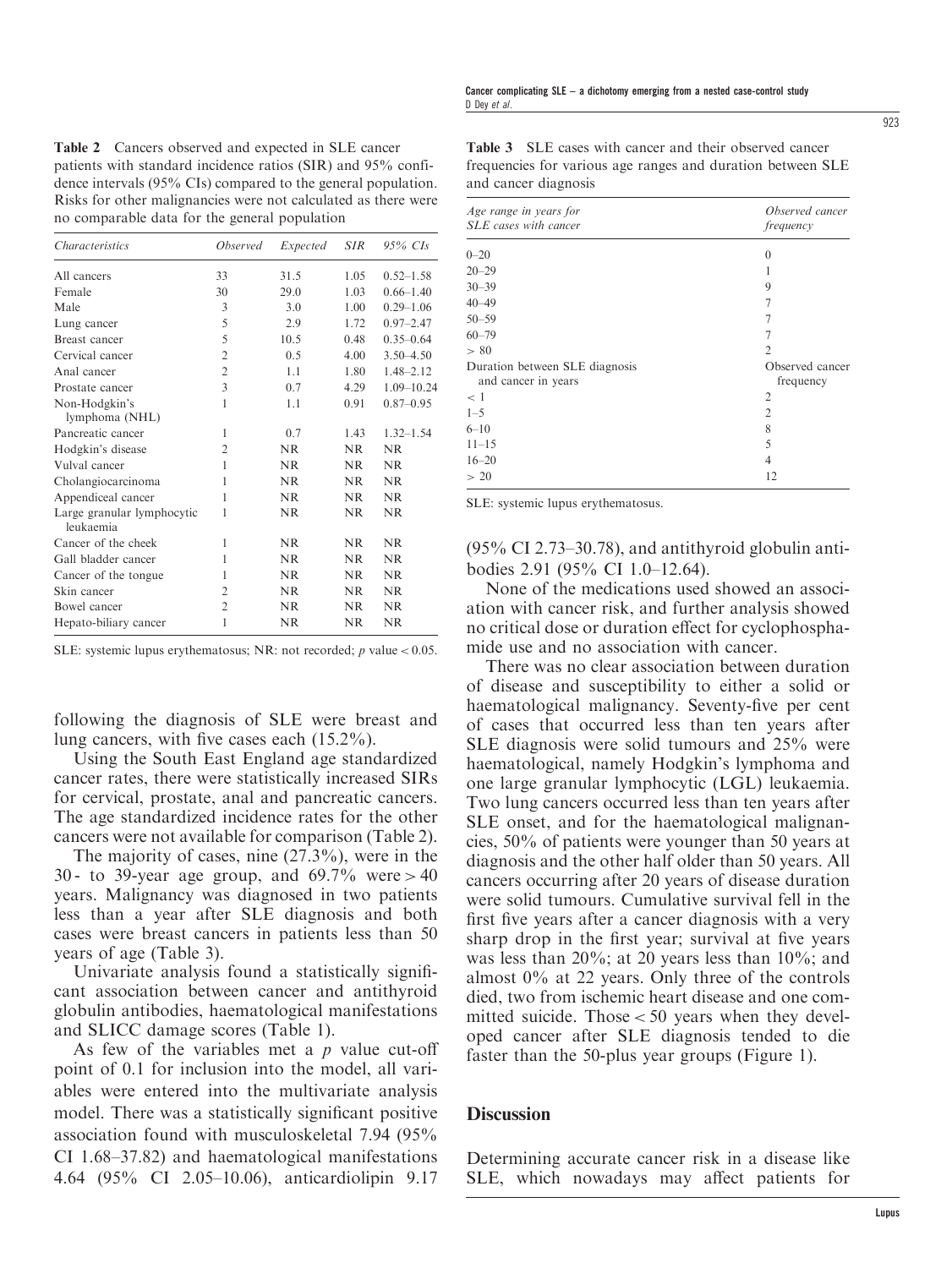Table 2 Cancers observed and expected in SLE cancer patients with standard incidence ratios (SIR) and 95% confidence intervals (95% CIs) compared to the general population. Risks for other malignancies were not calculated as there were no comparable data for the general population

| <i>Characteristics</i>                  | <i>Observed</i> | Expected  | <b>SIR</b> | 95% CIs        |
|-----------------------------------------|-----------------|-----------|------------|----------------|
| All cancers                             | 33              | 31.5      | 1.05       | $0.52 - 1.58$  |
| Female                                  | 30              | 29.0      | 1.03       | $0.66 - 1.40$  |
| Male                                    | 3               | 3.0       | 1.00       | $0.29 - 1.06$  |
| Lung cancer                             | 5               | 2.9       | 1.72       | $0.97 - 2.47$  |
| Breast cancer                           | 5               | 10.5      | 0.48       | $0.35 - 0.64$  |
| Cervical cancer                         | $\overline{c}$  | 0.5       | 4.00       | $3.50 - 4.50$  |
| Anal cancer                             | $\overline{2}$  | 1.1       | 1.80       | $1.48 - 2.12$  |
| Prostate cancer                         | 3               | 0.7       | 4.29       | $1.09 - 10.24$ |
| Non-Hodgkin's                           | 1               | 1.1       | 0.91       | $0.87 - 0.95$  |
| lymphoma (NHL)                          |                 |           |            |                |
| Pancreatic cancer                       | 1               | 0.7       | 1.43       | $1.32 - 1.54$  |
| Hodgkin's disease                       | $\overline{c}$  | NR.       | NR.        | NR.            |
| Vulval cancer                           | 1               | NR.       | NR.        | NR.            |
| Cholangiocarcinoma                      | 1               | NR.       | NR.        | NR.            |
| Appendiceal cancer                      | 1               | NR.       | NR.        | NR.            |
| Large granular lymphocytic<br>leukaemia | 1               | NR.       | NR.        | NR.            |
| Cancer of the cheek                     | 1               | NR.       | NR.        | NR.            |
| Gall bladder cancer                     | 1               | NR.       | NR.        | NR.            |
| Cancer of the tongue                    | 1               | <b>NR</b> | NR.        | <b>NR</b>      |
| Skin cancer                             | 2               | NR.       | NR.        | NR.            |
| Bowel cancer                            | $\overline{c}$  | NR.       | <b>NR</b>  | NR.            |
| Hepato-biliary cancer                   | 1               | <b>NR</b> | <b>NR</b>  | <b>NR</b>      |

SLE: systemic lupus erythematosus; NR: not recorded;  $p$  value < 0.05.

following the diagnosis of SLE were breast and lung cancers, with five cases each (15.2%).

Using the South East England age standardized cancer rates, there were statistically increased SIRs for cervical, prostate, anal and pancreatic cancers. The age standardized incidence rates for the other cancers were not available for comparison (Table 2).

The majority of cases, nine (27.3%), were in the 30 - to 39-year age group, and  $69.7\%$  were  $> 40$ years. Malignancy was diagnosed in two patients less than a year after SLE diagnosis and both cases were breast cancers in patients less than 50 years of age (Table 3).

Univariate analysis found a statistically significant association between cancer and antithyroid globulin antibodies, haematological manifestations and SLICC damage scores (Table 1).

As few of the variables met a  $p$  value cut-off point of 0.1 for inclusion into the model, all variables were entered into the multivariate analysis model. There was a statistically significant positive association found with musculoskeletal 7.94 (95% CI 1.68–37.82) and haematological manifestations 4.64 (95% CI 2.05–10.06), anticardiolipin 9.17

| <b>Table 3</b> SLE cases with cancer and their observed cancer |
|----------------------------------------------------------------|
| frequencies for various age ranges and duration between SLE    |
| and cancer diagnosis                                           |

| Age range in years for<br>SLE cases with cancer | Observed cancer |  |  |
|-------------------------------------------------|-----------------|--|--|
|                                                 | frequency       |  |  |
| $0 - 20$                                        | $\theta$        |  |  |
| $20 - 29$                                       |                 |  |  |
| $30 - 39$                                       | 9               |  |  |
| $40 - 49$                                       | 7               |  |  |
| $50 - 59$                                       | 7               |  |  |
| $60 - 79$                                       |                 |  |  |
| > 80                                            | $\mathfrak{D}$  |  |  |
| Duration between SLE diagnosis                  | Observed cancer |  |  |
| and cancer in years                             | frequency       |  |  |
| $<$ 1                                           | 2               |  |  |
| $1 - 5$                                         | 2               |  |  |
| $6 - 10$                                        | 8               |  |  |
| $11 - 15$                                       | 5               |  |  |
| $16 - 20$                                       | 4               |  |  |
| > 20                                            | 12              |  |  |

SLE: systemic lupus erythematosus.

(95% CI 2.73–30.78), and antithyroid globulin antibodies 2.91 (95% CI 1.0–12.64).

None of the medications used showed an association with cancer risk, and further analysis showed no critical dose or duration effect for cyclophosphamide use and no association with cancer.

There was no clear association between duration of disease and susceptibility to either a solid or haematological malignancy. Seventy-five per cent of cases that occurred less than ten years after SLE diagnosis were solid tumours and 25% were haematological, namely Hodgkin's lymphoma and one large granular lymphocytic (LGL) leukaemia. Two lung cancers occurred less than ten years after SLE onset, and for the haematological malignancies, 50% of patients were younger than 50 years at diagnosis and the other half older than 50 years. All cancers occurring after 20 years of disease duration were solid tumours. Cumulative survival fell in the first five years after a cancer diagnosis with a very sharp drop in the first year; survival at five years was less than 20%; at 20 years less than 10%; and almost 0% at 22 years. Only three of the controls died, two from ischemic heart disease and one committed suicide. Those < 50 years when they developed cancer after SLE diagnosis tended to die faster than the 50-plus year groups (Figure 1).

#### **Discussion**

Determining accurate cancer risk in a disease like SLE, which nowadays may affect patients for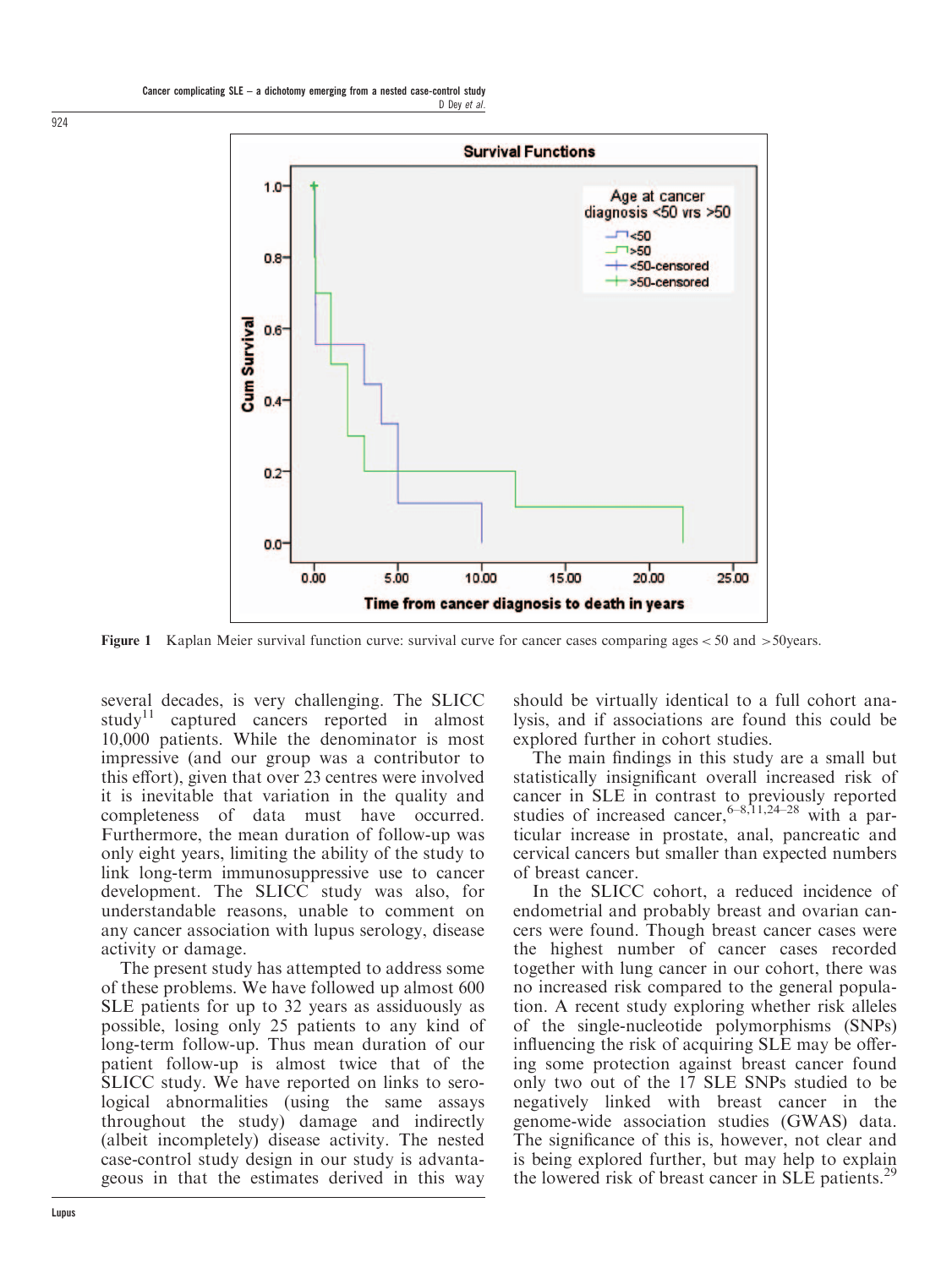

Figure 1 Kaplan Meier survival function curve: survival curve for cancer cases comparing ages < 50 and >50years.

several decades, is very challenging. The SLICC study<sup>11</sup> captured cancers reported in almost 10,000 patients. While the denominator is most impressive (and our group was a contributor to this effort), given that over 23 centres were involved it is inevitable that variation in the quality and completeness of data must have occurred. Furthermore, the mean duration of follow-up was only eight years, limiting the ability of the study to link long-term immunosuppressive use to cancer development. The SLICC study was also, for understandable reasons, unable to comment on any cancer association with lupus serology, disease activity or damage.

The present study has attempted to address some of these problems. We have followed up almost 600 SLE patients for up to 32 years as assiduously as possible, losing only 25 patients to any kind of long-term follow-up. Thus mean duration of our patient follow-up is almost twice that of the SLICC study. We have reported on links to serological abnormalities (using the same assays throughout the study) damage and indirectly (albeit incompletely) disease activity. The nested case-control study design in our study is advantageous in that the estimates derived in this way

should be virtually identical to a full cohort analysis, and if associations are found this could be explored further in cohort studies.

The main findings in this study are a small but statistically insignificant overall increased risk of cancer in SLE in contrast to previously reported studies of increased cancer,  $6-8,11,24-28$  with a particular increase in prostate, anal, pancreatic and cervical cancers but smaller than expected numbers of breast cancer.

In the SLICC cohort, a reduced incidence of endometrial and probably breast and ovarian cancers were found. Though breast cancer cases were the highest number of cancer cases recorded together with lung cancer in our cohort, there was no increased risk compared to the general population. A recent study exploring whether risk alleles of the single-nucleotide polymorphisms (SNPs) influencing the risk of acquiring SLE may be offering some protection against breast cancer found only two out of the 17 SLE SNPs studied to be negatively linked with breast cancer in the genome-wide association studies (GWAS) data. The significance of this is, however, not clear and is being explored further, but may help to explain the lowered risk of breast cancer in SLE patients.<sup>29</sup>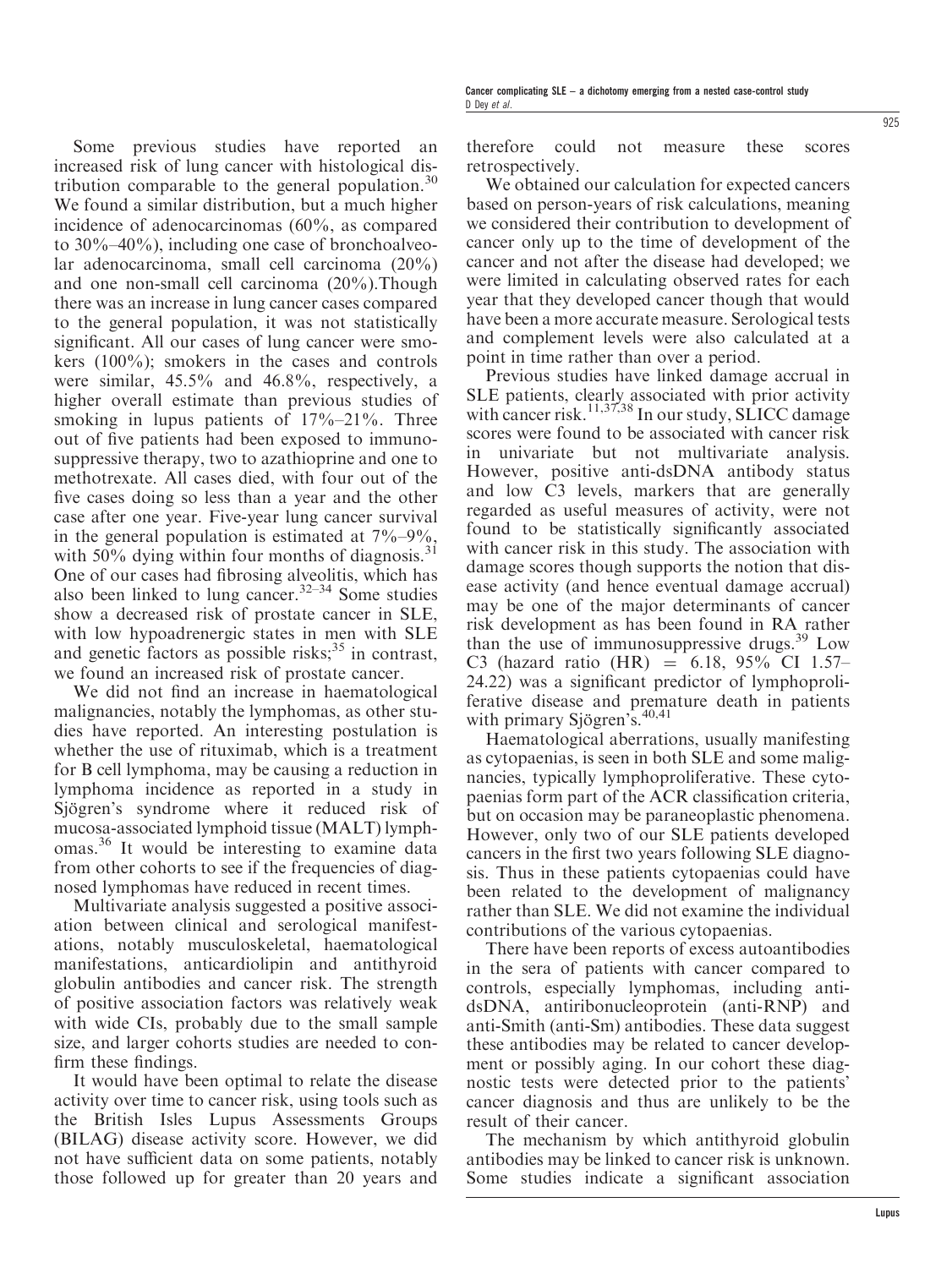Some previous studies have reported an increased risk of lung cancer with histological distribution comparable to the general population.<sup>30</sup> We found a similar distribution, but a much higher incidence of adenocarcinomas (60%, as compared to  $30\% - 40\%$ , including one case of bronchoalveolar adenocarcinoma, small cell carcinoma (20%) and one non-small cell carcinoma (20%).Though there was an increase in lung cancer cases compared to the general population, it was not statistically significant. All our cases of lung cancer were smokers (100%); smokers in the cases and controls were similar, 45.5% and 46.8%, respectively, a higher overall estimate than previous studies of smoking in lupus patients of  $17\%-21\%$ . Three out of five patients had been exposed to immunosuppressive therapy, two to azathioprine and one to methotrexate. All cases died, with four out of the five cases doing so less than a year and the other case after one year. Five-year lung cancer survival in the general population is estimated at  $7\% - 9\%$ , with  $50\%$  dying within four months of diagnosis.<sup>31</sup> One of our cases had fibrosing alveolitis, which has also been linked to lung cancer.<sup>32–34</sup> Some studies show a decreased risk of prostate cancer in SLE, with low hypoadrenergic states in men with SLE and genetic factors as possible risks; $35$  in contrast, we found an increased risk of prostate cancer.

We did not find an increase in haematological malignancies, notably the lymphomas, as other studies have reported. An interesting postulation is whether the use of rituximab, which is a treatment for B cell lymphoma, may be causing a reduction in lymphoma incidence as reported in a study in Sjögren's syndrome where it reduced risk of mucosa-associated lymphoid tissue (MALT) lymphomas.<sup>36</sup> It would be interesting to examine data from other cohorts to see if the frequencies of diagnosed lymphomas have reduced in recent times.

Multivariate analysis suggested a positive association between clinical and serological manifestations, notably musculoskeletal, haematological manifestations, anticardiolipin and antithyroid globulin antibodies and cancer risk. The strength of positive association factors was relatively weak with wide CIs, probably due to the small sample size, and larger cohorts studies are needed to confirm these findings.

It would have been optimal to relate the disease activity over time to cancer risk, using tools such as the British Isles Lupus Assessments Groups (BILAG) disease activity score. However, we did not have sufficient data on some patients, notably those followed up for greater than 20 years and

therefore could not measure these scores retrospectively.

We obtained our calculation for expected cancers based on person-years of risk calculations, meaning we considered their contribution to development of cancer only up to the time of development of the cancer and not after the disease had developed; we were limited in calculating observed rates for each year that they developed cancer though that would have been a more accurate measure. Serological tests and complement levels were also calculated at a point in time rather than over a period.

Previous studies have linked damage accrual in SLE patients, clearly associated with prior activity with cancer risk.<sup>11,37,38</sup> In our study, SLICC damage scores were found to be associated with cancer risk in univariate but not multivariate analysis. However, positive anti-dsDNA antibody status and low C3 levels, markers that are generally regarded as useful measures of activity, were not found to be statistically significantly associated with cancer risk in this study. The association with damage scores though supports the notion that disease activity (and hence eventual damage accrual) may be one of the major determinants of cancer risk development as has been found in RA rather than the use of immunosuppressive drugs. $39$  Low C3 (hazard ratio (HR) =  $6.18$ ,  $95\%$  CI 1.57– 24.22) was a significant predictor of lymphoproliferative disease and premature death in patients with primary Sjögren's.<sup>40,41</sup>

Haematological aberrations, usually manifesting as cytopaenias, is seen in both SLE and some malignancies, typically lymphoproliferative. These cytopaenias form part of the ACR classification criteria, but on occasion may be paraneoplastic phenomena. However, only two of our SLE patients developed cancers in the first two years following SLE diagnosis. Thus in these patients cytopaenias could have been related to the development of malignancy rather than SLE. We did not examine the individual contributions of the various cytopaenias.

There have been reports of excess autoantibodies in the sera of patients with cancer compared to controls, especially lymphomas, including antidsDNA, antiribonucleoprotein (anti-RNP) and anti-Smith (anti-Sm) antibodies. These data suggest these antibodies may be related to cancer development or possibly aging. In our cohort these diagnostic tests were detected prior to the patients' cancer diagnosis and thus are unlikely to be the result of their cancer.

The mechanism by which antithyroid globulin antibodies may be linked to cancer risk is unknown. Some studies indicate a significant association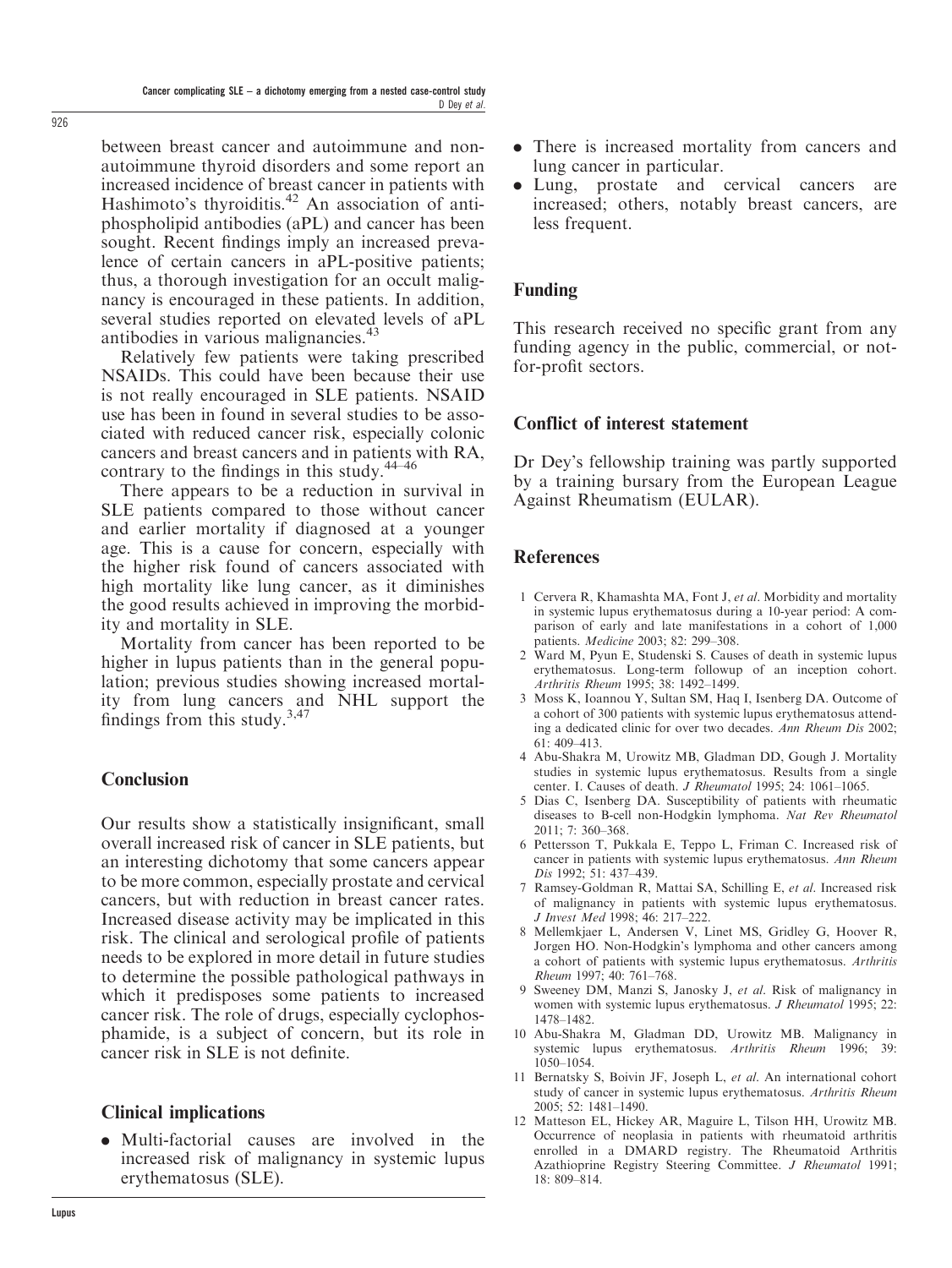between breast cancer and autoimmune and nonautoimmune thyroid disorders and some report an increased incidence of breast cancer in patients with Hashimoto's thyroiditis.<sup>42</sup> An association of antiphospholipid antibodies (aPL) and cancer has been sought. Recent findings imply an increased prevalence of certain cancers in aPL-positive patients; thus, a thorough investigation for an occult malignancy is encouraged in these patients. In addition, several studies reported on elevated levels of aPL antibodies in various malignancies.<sup>43</sup>

Relatively few patients were taking prescribed NSAIDs. This could have been because their use is not really encouraged in SLE patients. NSAID use has been in found in several studies to be associated with reduced cancer risk, especially colonic cancers and breast cancers and in patients with RA, contrary to the findings in this study.44–46

There appears to be a reduction in survival in SLE patients compared to those without cancer and earlier mortality if diagnosed at a younger age. This is a cause for concern, especially with the higher risk found of cancers associated with high mortality like lung cancer, as it diminishes the good results achieved in improving the morbidity and mortality in SLE.

Mortality from cancer has been reported to be higher in lupus patients than in the general population; previous studies showing increased mortality from lung cancers and NHL support the findings from this study.<sup>3,47</sup>

# **Conclusion**

Our results show a statistically insignificant, small overall increased risk of cancer in SLE patients, but an interesting dichotomy that some cancers appear to be more common, especially prostate and cervical cancers, but with reduction in breast cancer rates. Increased disease activity may be implicated in this risk. The clinical and serological profile of patients needs to be explored in more detail in future studies to determine the possible pathological pathways in which it predisposes some patients to increased cancer risk. The role of drugs, especially cyclophosphamide, is a subject of concern, but its role in cancer risk in SLE is not definite.

# Clinical implications

. Multi-factorial causes are involved in the increased risk of malignancy in systemic lupus erythematosus (SLE).

- . There is increased mortality from cancers and lung cancer in particular.
- . Lung, prostate and cervical cancers are increased; others, notably breast cancers, are less frequent.

#### Funding

This research received no specific grant from any funding agency in the public, commercial, or notfor-profit sectors.

#### Conflict of interest statement

Dr Dey's fellowship training was partly supported by a training bursary from the European League Against Rheumatism (EULAR).

#### **References**

- 1 Cervera R, Khamashta MA, Font J, et al. Morbidity and mortality in systemic lupus erythematosus during a 10-year period: A comparison of early and late manifestations in a cohort of 1,000 patients. Medicine 2003; 82: 299–308.
- 2 Ward M, Pyun E, Studenski S. Causes of death in systemic lupus erythematosus. Long-term followup of an inception cohort. Arthritis Rheum 1995; 38: 1492–1499.
- 3 Moss K, Ioannou Y, Sultan SM, Haq I, Isenberg DA. Outcome of a cohort of 300 patients with systemic lupus erythematosus attending a dedicated clinic for over two decades. Ann Rheum Dis 2002; 61: 409–413.
- 4 Abu-Shakra M, Urowitz MB, Gladman DD, Gough J. Mortality studies in systemic lupus erythematosus. Results from a single center. I. Causes of death. J Rheumatol 1995; 24: 1061–1065.
- 5 Dias C, Isenberg DA. Susceptibility of patients with rheumatic diseases to B-cell non-Hodgkin lymphoma. Nat Rev Rheumatol 2011; 7: 360–368.
- 6 Pettersson T, Pukkala E, Teppo L, Friman C. Increased risk of cancer in patients with systemic lupus erythematosus. Ann Rheum Dis 1992; 51: 437–439.
- 7 Ramsey-Goldman R, Mattai SA, Schilling E, et al. Increased risk of malignancy in patients with systemic lupus erythematosus. J Invest Med 1998; 46: 217–222.
- 8 Mellemkjaer L, Andersen V, Linet MS, Gridley G, Hoover R, Jorgen HO. Non-Hodgkin's lymphoma and other cancers among a cohort of patients with systemic lupus erythematosus. Arthritis Rheum 1997; 40: 761–768.
- 9 Sweeney DM, Manzi S, Janosky J, et al. Risk of malignancy in women with systemic lupus erythematosus. J Rheumatol 1995; 22: 1478–1482.
- 10 Abu-Shakra M, Gladman DD, Urowitz MB. Malignancy in systemic lupus erythematosus. Arthritis Rheum 1996; 39: 1050–1054.
- 11 Bernatsky S, Boivin JF, Joseph L, et al. An international cohort study of cancer in systemic lupus erythematosus. Arthritis Rheum 2005; 52: 1481–1490.
- 12 Matteson EL, Hickey AR, Maguire L, Tilson HH, Urowitz MB. Occurrence of neoplasia in patients with rheumatoid arthritis enrolled in a DMARD registry. The Rheumatoid Arthritis Azathioprine Registry Steering Committee. J Rheumatol 1991; 18: 809–814.

926